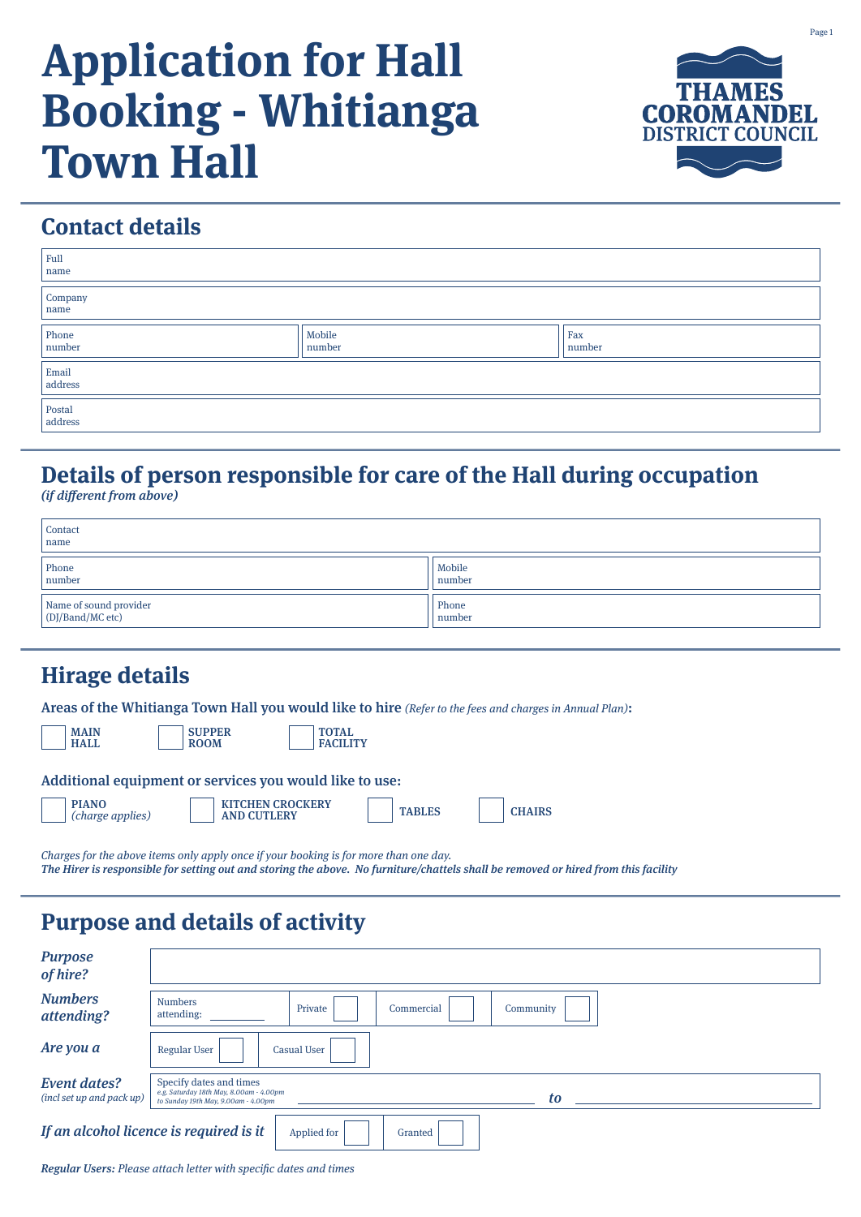# **Application for Hall Booking - Whitianga Town Hall**



# **Contact details**

| Full<br>name                                                                                      |  |  |  |
|---------------------------------------------------------------------------------------------------|--|--|--|
| $\begin{array}{c} \text{Compary} \\ \text{name} \end{array}$                                      |  |  |  |
| $\begin{array}{c} \text{Phone} \\ \text{number} \end{array}$<br>Mobile<br>Fax<br>number<br>number |  |  |  |
| $\begin{array}{c} \rm{Email} \\ \rm{address} \end{array}$                                         |  |  |  |
| Postal<br>address                                                                                 |  |  |  |

# **Details of person responsible for care of the Hall during occupation**

(if different from above)

| Contact<br>name                            |                  |
|--------------------------------------------|------------------|
| Phone<br>number                            | Mobile<br>number |
| Name of sound provider<br>(DJ/Band/MC etc) | Phone<br>number  |

## **Hirage details**

Areas of the Whitianga Town Hall you would like to hire (Refer to the fees and charges in Annual Plan):

| <b>MAIN</b><br><b>HALL</b> |  |
|----------------------------|--|
|                            |  |

TOTAL **FACILITY** 

| Additional equipment or services you would like to use: |  |  |
|---------------------------------------------------------|--|--|
|                                                         |  |  |

**SUPPER** ROOM

| <b>PIANO</b>     |  |
|------------------|--|
| (charge applies) |  |

| <b>PIANO</b><br><b>KITCHEN CROCKERY</b><br><b>TABLES</b><br><b>AND CUTLERY</b><br>(charge applies) | <b>CHAIRS</b> |
|----------------------------------------------------------------------------------------------------|---------------|

Charges for the above items only apply once if your booking is for more than one day. The Hirer is responsible for setting out and storing the above. No furniture/chattels shall be removed or hired from this facility

# **Purpose and details of activity**

| <b>Purpose</b><br>of hire?                                        |                                                                                                                 |  |
|-------------------------------------------------------------------|-----------------------------------------------------------------------------------------------------------------|--|
| <b>Numbers</b><br>attending?                                      | <b>Numbers</b><br>Private<br>Commercial<br>Community<br>attending:                                              |  |
| Are you a                                                         | <b>Regular User</b><br><b>Casual User</b>                                                                       |  |
| <b>Event dates?</b><br>(incl set up and pack up)                  | Specify dates and times<br>e.g. Saturday 18th May, 8.00am - 4.00pm<br>tΩ<br>to Sunday 19th May, 9.00am - 4.00pm |  |
| If an alcohol licence is required is it<br>Applied for<br>Granted |                                                                                                                 |  |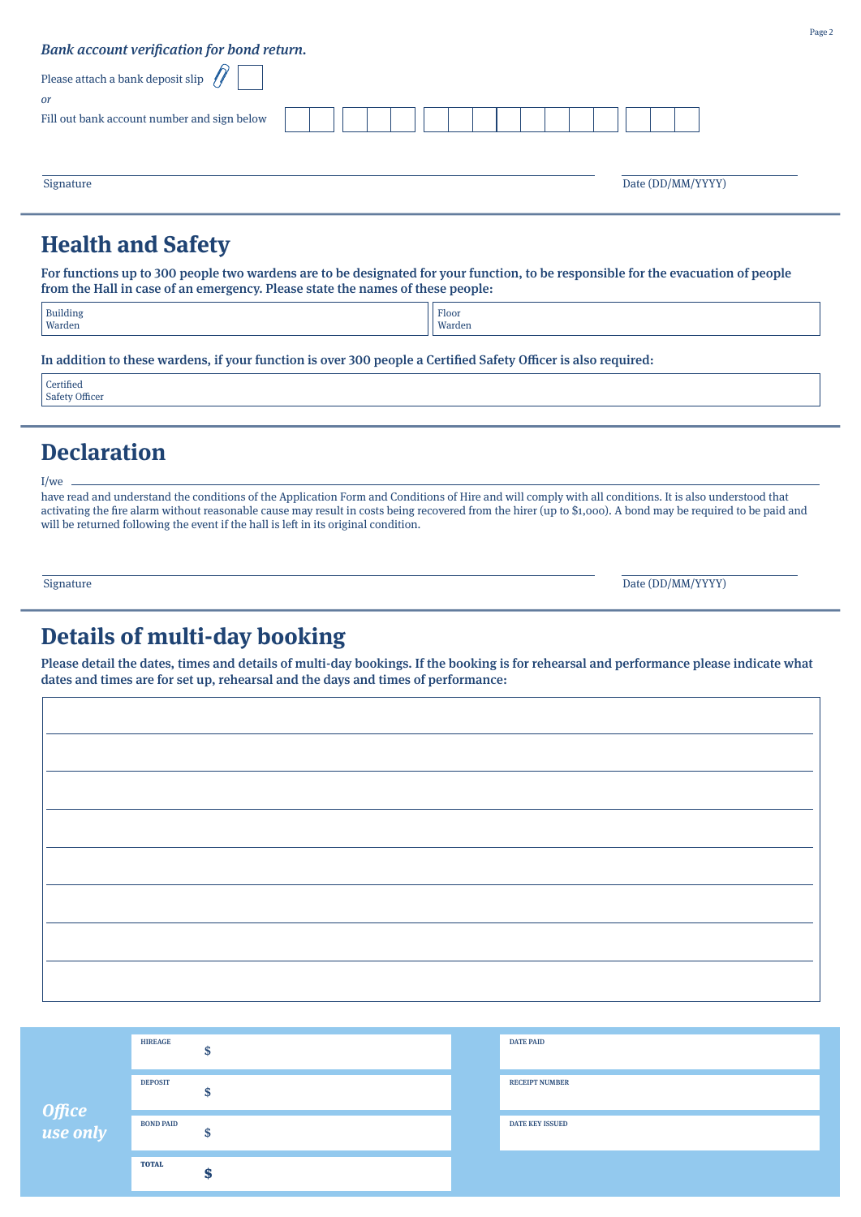| Bank account verification for bond return.      |  |
|-------------------------------------------------|--|
| Please attach a bank deposit slip $\mathscr{D}$ |  |
| <sub>or</sub>                                   |  |
| Fill out bank account number and sign below     |  |
|                                                 |  |
|                                                 |  |

### **Health and Safety**

For functions up to 300 people two wardens are to be designated for your function, to be responsible for the evacuation of people from the Hall in case of an emergency. Please state the names of these people:

Signature Date (DD/MM/YYYY)

| <b>Building</b> | Floor  |
|-----------------|--------|
| Warden          | Warden |
|                 |        |

In addition to these wardens, if your function is over 300 people a Certified Safety Officer is also required:

**Certified** Safety Officer

I/we

## **Declaration**

have read and understand the conditions of the Application Form and Conditions of Hire and will comply with all conditions. It is also understood that activating the fire alarm without reasonable cause may result in costs being recovered from the hirer (up to \$1,000). A bond may be required to be paid and will be returned following the event if the hall is left in its original condition.

Signature Date (DD/MM/YYYY)

## **Details of multi-day booking**

Please detail the dates, times and details of multi-day bookings. If the booking is for rehearsal and performance please indicate what dates and times are for set up, rehearsal and the days and times of performance:

| Office<br>use only | <b>HIREAGE</b>   | w | <b>DATE PAID</b>       |
|--------------------|------------------|---|------------------------|
|                    | <b>DEPOSIT</b>   | m | <b>RECEIPT NUMBER</b>  |
|                    | <b>BOND PAID</b> |   | <b>DATE KEY ISSUED</b> |
|                    | <b>TOTAL</b>     |   |                        |